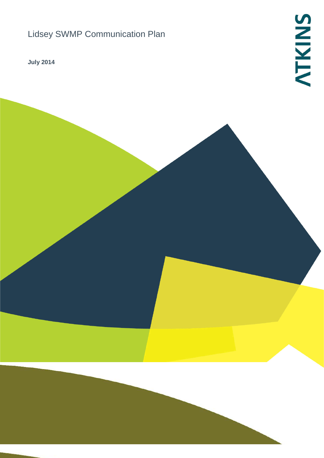## Lidsey SWMP Communication Plan

**July 2014**

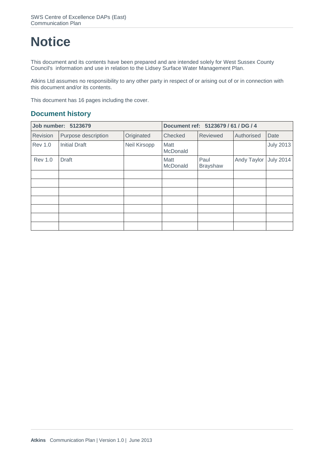## **Notice**

This document and its contents have been prepared and are intended solely for West Sussex County Council's information and use in relation to the Lidsey Surface Water Management Plan.

Atkins Ltd assumes no responsibility to any other party in respect of or arising out of or in connection with this document and/or its contents.

This document has 16 pages including the cover.

### **Document history**

| Job number: 5123679 |                      |              | Document ref: 5123679 / 61 / DG / 4 |                         |             |                  |  |
|---------------------|----------------------|--------------|-------------------------------------|-------------------------|-------------|------------------|--|
| Revision            | Purpose description  | Originated   | Checked                             | Reviewed                | Authorised  | Date             |  |
| <b>Rev 1.0</b>      | <b>Initial Draft</b> | Neil Kirsopp | Matt<br>McDonald                    |                         |             | <b>July 2013</b> |  |
| <b>Rev 1.0</b>      | <b>Draft</b>         |              | Matt<br>McDonald                    | Paul<br><b>Brayshaw</b> | Andy Taylor | <b>July 2014</b> |  |
|                     |                      |              |                                     |                         |             |                  |  |
|                     |                      |              |                                     |                         |             |                  |  |
|                     |                      |              |                                     |                         |             |                  |  |
|                     |                      |              |                                     |                         |             |                  |  |
|                     |                      |              |                                     |                         |             |                  |  |
|                     |                      |              |                                     |                         |             |                  |  |
|                     |                      |              |                                     |                         |             |                  |  |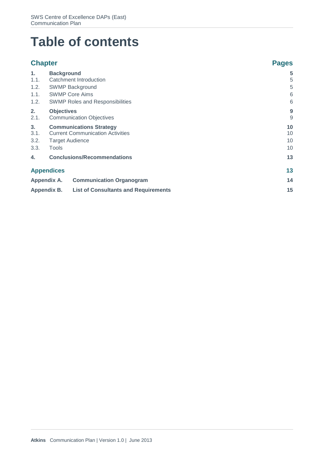# **Table of contents**

## **Chapter Pages**

| 1.                                                         | <b>Background</b>                       |                                    | 5      |
|------------------------------------------------------------|-----------------------------------------|------------------------------------|--------|
| 1.1.                                                       |                                         | Catchment Introduction             | 5      |
| 1.2.                                                       | <b>SWMP Background</b>                  | 5                                  |        |
| 1.1.                                                       | <b>SWMP Core Aims</b>                   | 6                                  |        |
| 1.2.                                                       | SWMP Roles and Responsibilities         | 6                                  |        |
| 2.<br>2.1.                                                 | <b>Objectives</b>                       | <b>Communication Objectives</b>    | 9<br>9 |
| 3.                                                         |                                         | <b>Communications Strategy</b>     | 10     |
| 3.1.                                                       | <b>Current Communication Activities</b> | 10                                 |        |
| 3.2.                                                       | <b>Target Audience</b>                  |                                    | 10     |
| 3.3.                                                       | Tools                                   |                                    | 10     |
| 4.                                                         |                                         | <b>Conclusions/Recommendations</b> | 13     |
|                                                            | <b>Appendices</b>                       |                                    | 13     |
|                                                            | Appendix A.                             | <b>Communication Organogram</b>    | 14     |
| <b>List of Consultants and Requirements</b><br>Appendix B. |                                         |                                    | 15     |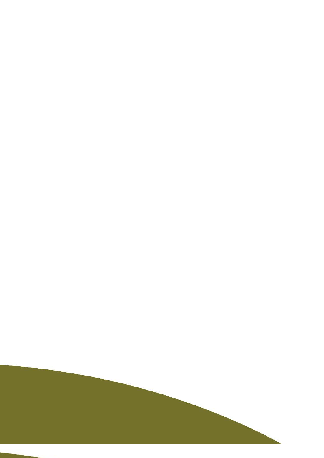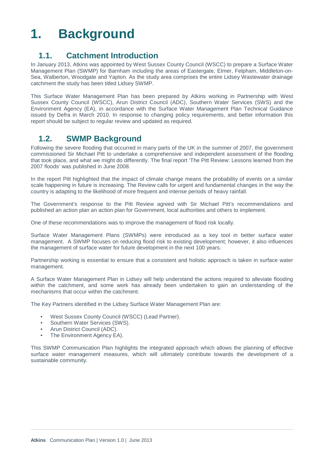## <span id="page-4-0"></span>**1. Background**

## <span id="page-4-1"></span>**1.1. Catchment Introduction**

In January 2013, Atkins was appointed by West Sussex County Council (WSCC) to prepare a Surface Water Management Plan (SWMP) for Barnham including the areas of Eastergate, Elmer, Felpham, Middleton-on-Sea, Walberton, Woodgate and Yapton. As the study area comprises the entire Lidsey Wastewater drainage catchment the study has been titled Lidsey SWMP.

This Surface Water Management Plan has been prepared by Atkins working in Partnership with West Sussex County Council (WSCC), Arun District Council (ADC), Southern Water Services (SWS) and the Environment Agency (EA), in accordance with the Surface Water Management Plan Technical Guidance issued by Defra in March 2010. In response to changing policy requirements, and better information this report should be subject to regular review and updated as required.

### <span id="page-4-2"></span>**1.2. SWMP Background**

Following the severe flooding that occurred in many parts of the UK in the summer of 2007, the government commissioned Sir Michael Pitt to undertake a comprehensive and independent assessment of the flooding that took place, and what we might do differently. The final report 'The Pitt Review: Lessons learned from the 2007 floods' was published in June 2008.

In the report Pitt highlighted that the impact of climate change means the probability of events on a similar scale happening in future is increasing. The Review calls for urgent and fundamental changes in the way the country is adapting to the likelihood of more frequent and intense periods of heavy rainfall.

The Government's response to the Pitt Review agreed with Sir Michael Pitt's recommendations and published an action plan an action plan for Government, local authorities and others to implement.

One of these recommendations was to improve the management of flood risk locally.

Surface Water Management Plans (SWMPs) were introduced as a key tool in better surface water management. A SWMP focuses on reducing flood risk to existing development; however, it also influences the management of surface water for future development in the next 100 years.

Partnership working is essential to ensure that a consistent and holistic approach is taken in surface water management.

A Surface Water Management Plan in Lidsey will help understand the actions required to alleviate flooding within the catchment, and some work has already been undertaken to gain an understanding of the mechanisms that occur within the catchment.

The Key Partners identified in the Lidsey Surface Water Management Plan are:

- West Sussex County Council (WSCC) (Lead Partner).
- Southern Water Services (SWS).
- Arun District Council (ADC).
- The Environment Agency EA).

This SWMP Communication Plan highlights the integrated approach which allows the planning of effective surface water management measures, which will ultimately contribute towards the development of a sustainable community.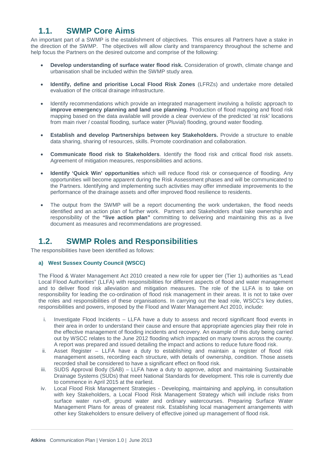## <span id="page-5-0"></span>**1.1. SWMP Core Aims**

An important part of a SWMP is the establishment of objectives. This ensures all Partners have a stake in the direction of the SWMP. The objectives will allow clarity and transparency throughout the scheme and help focus the Partners on the desired outcome and comprise of the following:

- **Develop understanding of surface water flood risk.** Consideration of growth, climate change and urbanisation shall be included within the SWMP study area.
- **Identify, define and prioritise Local Flood Risk Zones** (LFRZs) and undertake more detailed evaluation of the critical drainage infrastructure.
- Identify recommendations which provide an integrated management involving a holistic approach to **improve emergency planning and land use planning**. Production of flood mapping and flood risk mapping based on the data available will provide a clear overview of the predicted 'at risk' locations from main river / coastal flooding, surface water (Pluvial) flooding, ground water flooding.
- **Establish and develop Partnerships between key Stakeholders.** Provide a structure to enable data sharing, sharing of resources, skills. Promote coordination and collaboration.
- **Communicate flood risk to Stakeholders**. Identify the flood risk and critical flood risk assets. Agreement of mitigation measures, responsibilities and actions.
- **Identify 'Quick Win' opportunities** which will reduce flood risk or consequence of flooding. Any opportunities will become apparent during the Risk Assessment phases and will be communicated to the Partners. Identifying and implementing such activities may offer immediate improvements to the performance of the drainage assets and offer improved flood resilience to residents.
- The output from the SWMP will be a report documenting the work undertaken, the flood needs identified and an action plan of further work. Partners and Stakeholders shall take ownership and responsibility of the **"live action plan"** committing to delivering and maintaining this as a live document as measures and recommendations are progressed.

## <span id="page-5-1"></span>**1.2. SWMP Roles and Responsibilities**

The responsibilities have been identified as follows:

#### **a) West Sussex County Council (WSCC)**

The Flood & Water Management Act 2010 created a new role for upper tier (Tier 1) authorities as "Lead Local Flood Authorities" (LLFA) with responsibilities for different aspects of flood and water management and to deliver flood risk alleviation and mitigation measures. The role of the LLFA is to take on responsibility for leading the co-ordination of flood risk management in their areas. It is not to take over the roles and responsibilities of these organisations. In carrying out the lead role, WSCC's key duties, responsibilities and powers, imposed by the Flood and Water Management Act 2010, include:

- i. Investigate Flood Incidents LLFA have a duty to assess and record significant flood events in their area in order to understand their cause and ensure that appropriate agencies play their role in the effective management of flooding incidents and recovery. An example of this duty being carried out by WSCC relates to the June 2012 flooding which impacted on many towns across the county. A report was prepared and issued detailing the impact and actions to reduce future flood risk.
- ii. Asset Register LLFA have a duty to establishing and maintain a register of flood risk management assets, recording each structure, with details of ownership, condition. Those assets recorded shall be considered to have a significant effect on flood risk.
- iii. SUDS Approval Body (SAB) LLFA have a duty to approve, adopt and maintaining Sustainable Drainage Systems (SUDs) that meet National Standards for development. This role is currently due to commence in April 2015 at the earliest.
- iv. Local Flood Risk Management Strategies Developing, maintaining and applying, in consultation with key Stakeholders, a Local Flood Risk Management Strategy which will include risks from surface water run-off, ground water and ordinary watercourses. Preparing Surface Water Management Plans for areas of greatest risk. Establishing local management arrangements with other key Stakeholders to ensure delivery of effective joined up management of flood risk.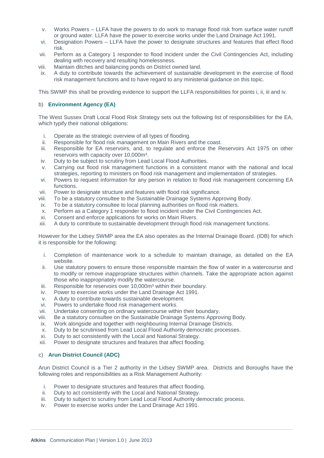- v. Works Powers LLFA have the powers to do work to manage flood risk from surface water runoff or ground water. LLFA have the power to exercise works under the Land Drainage Act 1991.
- vi. Designation Powers LLFA have the power to designate structures and features that effect flood risk.
- vii. Perform as a Category 1 responder to flood incident under the Civil Contingencies Act, including dealing with recovery and resulting homelessness.
- viii. Maintain ditches and balancing ponds on District owned land.
- ix. A duty to contribute towards the achievement of sustainable development in the exercise of flood risk management functions and to have regard to any ministerial guidance on this topic.

This SWMP this shall be providing evidence to support the LLFA responsibilities for points i, ii, iii and iv.

#### b) **Environment Agency (EA)**

The West Sussex Draft Local Flood Risk Strategy sets out the following list of responsibilities for the EA, which typify their national obligations:

- i. Operate as the strategic overview of all types of flooding.
- ii. Responsible for flood risk management on Main Rivers and the coast.
- iii. Responsible for EA reservoirs, and, to regulate and enforce the Reservoirs Act 1975 on other reservoirs with capacity over 10,000m<sup>3</sup>.
- iv. Duty to be subject to scrutiny from Lead Local Flood Authorities.
- v. Carrying out flood risk management functions in a consistent manor with the national and local strategies, reporting to ministers on flood risk management and implementation of strategies.
- vi. Powers to request information for any person in relation to flood risk management concerning EA functions.
- 
- vii. Power to designate structure and features with flood risk significance.<br>
Vili. To be a statutory consultee to the Sustainable Drainage Systems App To be a statutory consultee to the Sustainable Drainage Systems Approving Body.
- ix. To be a statutory consultee to local planning authorities on flood risk matters.
- x. Perform as a Category 1 responder to flood incident under the Civil Contingencies Act.
- xi. Consent and enforce applications for works on Main Rivers.
- xii. A duty to contribute to sustainable development through flood risk management functions.

However for the Lidsey SWMP area the EA also operates as the Internal Drainage Board. (IDB) for which it is responsible for the following:

- i. Completion of maintenance work to a schedule to maintain drainage, as detailed on the EA website.
- ii. Use statutory powers to ensure those responsible maintain the flow of water in a watercourse and to modify or remove inappropriate structures within channels. Take the appropriate action against those who inappropriately modify the watercourse.
- iii. Responsible for reservoirs over 10,000m<sup>3</sup> within their boundary.
- iv. Power to exercise works under the Land Drainage Act 1991.
- v. A duty to contribute towards sustainable development.
- vi. Powers to undertake flood risk management works.
- vii. Undertake consenting on ordinary watercourse within their boundary.
- viii. Be a statutory consultee on the Sustainable Drainage Systems Approving Body.
- ix. Work alongside and together with neighbouring Internal Drainage Districts.
- x. Duty to be scrutinised from Lead Local Flood Authority democratic processes.
- xi. Duty to act consistently with the Local and National Strategy.<br>
20 yii. Power to designate structures and features that affect flooding
- Power to designate structures and features that affect flooding.

#### c) **Arun District Council (ADC)**

Arun District Council is a Tier 2 authority in the Lidsey SWMP area. Districts and Boroughs have the following roles and responsibilities as a Risk Management Authority:

- i. Power to designate structures and features that affect flooding.
- ii. Duty to act consistently with the Local and National Strategy.
- iii. Duty to subject to scrutiny from Lead Local Flood Authority democratic process.
- iv. Power to exercise works under the Land Drainage Act 1991.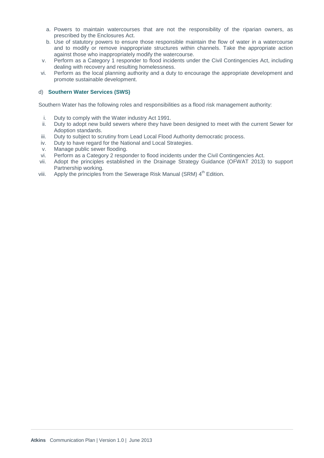- a. Powers to maintain watercourses that are not the responsibility of the riparian owners, as prescribed by the Enclosures Act.
- b. Use of statutory powers to ensure those responsible maintain the flow of water in a watercourse and to modify or remove inappropriate structures within channels. Take the appropriate action against those who inappropriately modify the watercourse.
- v. Perform as a Category 1 responder to flood incidents under the Civil Contingencies Act, including dealing with recovery and resulting homelessness.
- vi. Perform as the local planning authority and a duty to encourage the appropriate development and promote sustainable development.

#### d) **Southern Water Services (SWS)**

Southern Water has the following roles and responsibilities as a flood risk management authority:

- i. Duty to comply with the Water industry Act 1991.
- ii. Duty to adopt new build sewers where they have been designed to meet with the current Sewer for Adoption standards.
- iii. Duty to subject to scrutiny from Lead Local Flood Authority democratic process.
- iv. Duty to have regard for the National and Local Strategies.
- v. Manage public sewer flooding.
- vi. Perform as a Category 2 responder to flood incidents under the Civil Contingencies Act.
- vii. Adopt the principles established in the Drainage Strategy Guidance (OFWAT 2013) to support Partnership working.
- viii. Apply the principles from the Sewerage Risk Manual (SRM)  $4<sup>th</sup>$  Edition.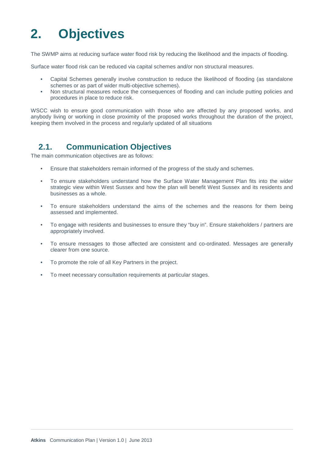# <span id="page-8-0"></span>**2. Objectives**

The SWMP aims at reducing surface water flood risk by reducing the likelihood and the impacts of flooding.

Surface water flood risk can be reduced via capital schemes and/or non structural measures.

- Capital Schemes generally involve construction to reduce the likelihood of flooding (as standalone schemes or as part of wider multi-objective schemes).
- Non structural measures reduce the consequences of flooding and can include putting policies and procedures in place to reduce risk.

WSCC wish to ensure good communication with those who are affected by any proposed works, and anybody living or working in close proximity of the proposed works throughout the duration of the project, keeping them involved in the process and regularly updated of all situations

## <span id="page-8-1"></span>**2.1. Communication Objectives**

The main communication objectives are as follows:

- Ensure that stakeholders remain informed of the progress of the study and schemes.
- To ensure stakeholders understand how the Surface Water Management Plan fits into the wider strategic view within West Sussex and how the plan will benefit West Sussex and its residents and businesses as a whole.
- To ensure stakeholders understand the aims of the schemes and the reasons for them being assessed and implemented.
- To engage with residents and businesses to ensure they "buy in". Ensure stakeholders / partners are appropriately involved.
- To ensure messages to those affected are consistent and co-ordinated. Messages are generally clearer from one source.
- To promote the role of all Key Partners in the project.
- To meet necessary consultation requirements at particular stages.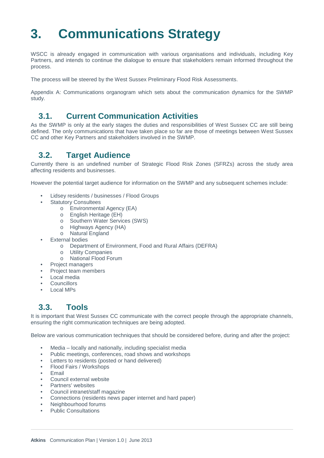# <span id="page-9-0"></span>**3. Communications Strategy**

WSCC is already engaged in communication with various organisations and individuals, including Key Partners, and intends to continue the dialogue to ensure that stakeholders remain informed throughout the process.

The process will be steered by the West Sussex Preliminary Flood Risk Assessments.

Appendix A: Communications organogram which sets about the communication dynamics for the SWMP study.

### <span id="page-9-1"></span>**3.1. Current Communication Activities**

As the SWMP is only at the early stages the duties and responsibilities of West Sussex CC are still being defined. The only communications that have taken place so far are those of meetings between West Sussex CC and other Key Partners and stakeholders involved in the SWMP.

### <span id="page-9-2"></span>**3.2. Target Audience**

Currently there is an undefined number of Strategic Flood Risk Zones (SFRZs) across the study area affecting residents and businesses.

However the potential target audience for information on the SWMP and any subsequent schemes include:

- Lidsey residents / businesses / Flood Groups
- **Statutory Consultees** 
	- o Environmental Agency (EA)
	- o English Heritage (EH)
	- o Southern Water Services (SWS)
	- o Highways Agency (HA)
	- o Natural England
- **External bodies** 
	- o Department of Environment, Food and Rural Affairs (DEFRA)
	- o Utility Companies
	- o National Flood Forum
	- Project managers
- Project team members
- Local media
- **Councillors**
- Local MPs

## <span id="page-9-3"></span>**3.3. Tools**

It is important that West Sussex CC communicate with the correct people through the appropriate channels, ensuring the right communication techniques are being adopted.

Below are various communication techniques that should be considered before, during and after the project:

- Media locally and nationally, including specialist media
- Public meetings, conferences, road shows and workshops
- Letters to residents (posted or hand delivered)
- Flood Fairs / Workshops
- Email
- Council external website
- Partners' websites
- Council intranet/staff magazine
- Connections (residents news paper internet and hard paper)
- Neighbourhood forums
- Public Consultations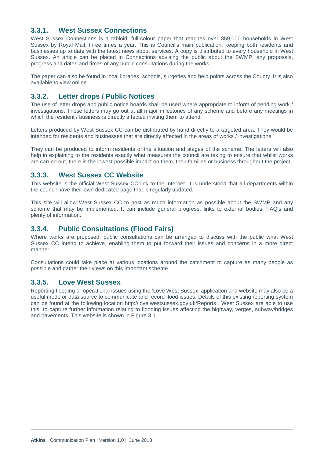#### **3.3.1. West Sussex Connections**

West Sussex Connections is a tabloid, full-colour paper that reaches over 359,000 households in West Sussex by Royal Mail, three times a year. This is Council's main publication, keeping both residents and businesses up to date with the latest news about services. A copy is distributed to every household in West Sussex. An article can be placed in Connections advising the public about the SWMP, any proposals, progress and dates and times of any public consultations during the works.

The paper can also be found in local libraries, schools, surgeries and help points across the County. It is also available to view online.

#### **3.3.2. Letter drops / Public Notices**

The use of letter drops and public notice boards shall be used where appropriate to inform of pending work / investigations. These letters may go out at all major milestones of any scheme and before any meetings in which the resident / business is directly affected inviting them to attend.

Letters produced by West Sussex CC can be distributed by hand directly to a targeted area. They would be intended for residents and businesses that are directly affected in the areas of works / investigations.

They can be produced to inform residents of the situation and stages of the scheme. The letters will also help in explaining to the residents exactly what measures the council are taking to ensure that whilst works are carried out, there is the lowest possible impact on them, their families or business throughout the project.

#### **3.3.3. West Sussex CC Website**

This website is the official West Sussex CC link to the Internet. It is understood that all departments within the council have their own dedicated page that is regularly updated.

This site will allow West Sussex CC to post as much information as possible about the SWMP and any scheme that may be implemented. It can include general progress, links to external bodies, FAQ's and plenty of information.

#### **3.3.4. Public Consultations (Flood Fairs)**

Where works are proposed, public consultations can be arranged to discuss with the public what West Sussex CC intend to achieve, enabling them to put forward their issues and concerns in a more direct manner.

Consultations could take place at various locations around the catchment to capture as many people as possible and gather their views on this important scheme.

#### **3.3.5. Love West Sussex**

Reporting flooding or operational issues using the 'Love West Sussex' application and website may also be a useful mode or data source to communicate and record flood issues. Details of this existing reporting system can be found at the following location<http://love.westsussex.gov.uk/Reports> . West Sussex are able to use this to capture further information relating to flooding issues affecting the highway, verges, subway/bridges and pavements. This website is shown in Figure 3.1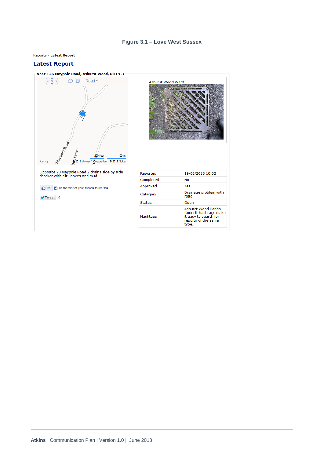Reports > Latest Report

#### **Latest Report**

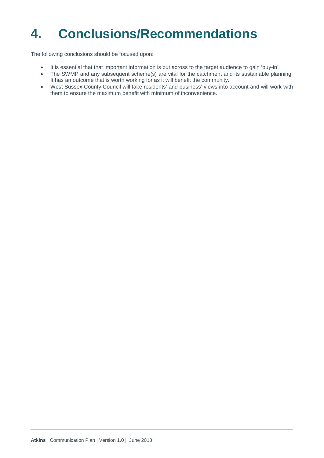# <span id="page-12-0"></span>**4. Conclusions/Recommendations**

The following conclusions should be focused upon:

- It is essential that that important information is put across to the target audience to gain 'buy-in'.
- The SWMP and any subsequent scheme(s) are vital for the catchment and its sustainable planning. It has an outcome that is worth working for as it will benefit the community.
- <span id="page-12-1"></span>• West Sussex County Council will take residents' and business' views into account and will work with them to ensure the maximum benefit with minimum of inconvenience.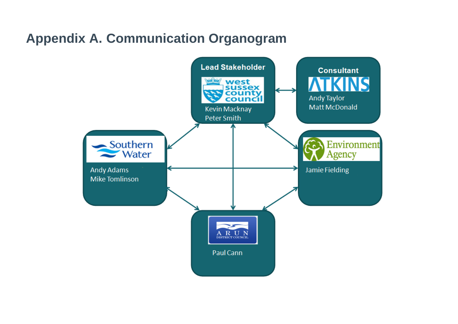## **Appendix A. Communication Organogram**

<span id="page-13-0"></span>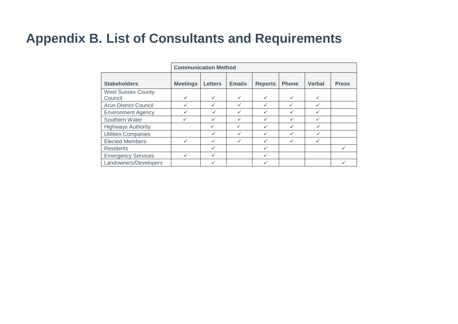## **Appendix B. List of Consultants and Requirements**

<span id="page-14-0"></span>

|                                      | <b>Communication Method</b> |                |               |                |              |               |              |
|--------------------------------------|-----------------------------|----------------|---------------|----------------|--------------|---------------|--------------|
| <b>Stakeholders</b>                  | <b>Meetings</b>             | <b>Letters</b> | <b>Emails</b> | <b>Reports</b> | <b>Phone</b> | <b>Verbal</b> | <b>Press</b> |
| <b>West Sussex County</b><br>Council | $\checkmark$                | $\checkmark$   | $\checkmark$  | ✓              | ✓            |               |              |
| <b>Arun District Council</b>         | ✓                           | ✓              | $\checkmark$  | $\checkmark$   | $\checkmark$ | ✓             |              |
| <b>Environment Agency</b>            |                             |                | ✓             |                |              |               |              |
| Southern Water                       | ✓                           | ✓              | ✓             | ✓              | ✓            |               |              |
| <b>Highways Authority</b>            |                             | ✓              | ✓             | ✓              | ✓            | ✓             |              |
| <b>Utilities Companies</b>           |                             | ✓              | ✓             | ✓              | ✓            | ✓             |              |
| <b>Elected Members</b>               | ✓                           | ✓              | $\checkmark$  | ✓              | ✓            |               |              |
| <b>Residents</b>                     |                             | ✓              |               |                |              |               |              |
| <b>Emergency Services</b>            | ✓                           | ✓              |               | $\checkmark$   |              |               |              |
| Landowners/Developers                |                             |                |               |                |              |               |              |